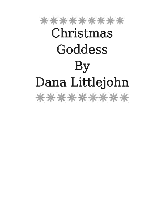# \*\*\*\*\*\*\*\*\* Christmas Goddess  $\mathbf{By}$ Dana Littlejohn

\*\*\*\*\*\*\*\*\*\*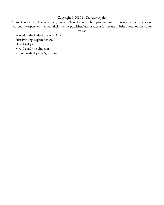## Copyright © 2020 by Dana Littlejohn

All rights reserved. This book or any portion thereof may not be reproduced or used in any manner whatsoever without the express written permission of the publisher/author except for the use of brief quotations in a book

review.

Printed in the United States of America First Printing, September 2020 Dana Littlejohn www.DanaLittlejohn.com authordanalittlejohn@gmail.com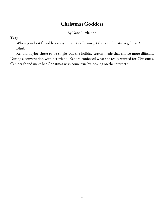# Christmas Goddess

By Dana Littlejohn

## Tag:

When your best friend has savvy internet skills you get the best Christmas gift ever!

## Blurb:

Kendra Taylor chose to be single, but the holiday season made that choice more difficult. During a conversation with her friend, Kendra confessed what she really wanted for Christmas. Can her friend make her Christmas wish come true by looking on the internet?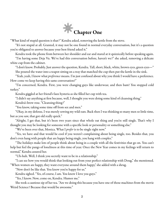

"What kind of stupid question is that?" Kendra asked, removing the kettle from the stove.

"It's not stupid at all. Granted, it may not be one found in normal everyday conversation, but it's a question you're obligated to answer because your best friend asked it."

Kendra took the phone from between her shoulder and ear and stared at it quizzically before speaking again.

"I'm having some Deja Vu. We've had this conversation before, haven't we?" she asked, removing a delicate white cup from the cabinet.

"I don't know. Probably. Justanswer the question, Kendra. Tall, short, black, white, brown eyes, green eyes—" She poured the water into a teapot sitting on a tray that matched the cup then put the kettle in the sink.

"Yeah, yeah, I know what *preference* means. I'm just confused about why you think I would have a preference. How come we keep having this same conversation?"

"I'm concerned, Kendra. First, you were changing guys like underwear, and then bam! You stopped cold turkey."

Kendra giggled at her friend's faux hysteria as she filled her cup with tea.

"I didn't say anything at first because, well, I thought you were doing some kind of cleansing thing."

Kendra's brow rose. "Cleansing thing?"

"You know, taking some time off from sex and men."

"Okay, in my defense, I was merely sowing my wild oats. Back then I was thinking so many men so little time, but as you saw, that got old really quick."

"Alright, I get that, but it's been two years since that whole oat thing and you're still single. That's why I thought you may be looking for someone with a specific look or personality or something else."

"We've been over that, Monica. What I *prefer* is to be single right now."

"Yes, we have and that would be cool if you weren't complaining about being single, too. Besides that, you don't even hang with people that are happy being single, you hang with couples."

"The holidays make lots of people think about being in a couple with all the festivities that go on. You can't help but feel the pangs of loneliness at this time of year. Once the New Year comes in my feelings will return to normal," Kendra assured her.

"Uh-huh. Well, I think you secretly want to be in a relationship."

"I can see how you would think that looking out from your perfect relationship with Doug," she mentioned. "When women are happy, they want everyone around them happy," she added with a shrug.

"Now don't be like that. You know you're happy for us."

Kendra sighed. "Yes, of course, I am. You know I love you guys."

"Yes, I know. Now, come on, Kendra. Humor me."

She took a cautious sip of her tea. "Are we doing this because you have one of those machines from the movie Weird Science? Because that would be awesome."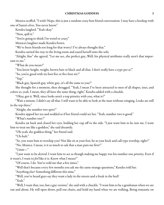Monica scoffed. "I wish! Nope, this is just a random crazy best friend conversation. I may have a hookup with one of Santa's elves. You never know."

Kendra laughed. "Yeah okay."

"Now, spill it."

"You're going to think I'm weird or crazy."

Monica's laughter made Kendra frown.

"We've been friends too long for that worry! I've always thought that."

Kendra carried the tray to the living room and eased herself onto the sofa.

"Alright, fine" she agreed. "Let me see...the perfect guy...Well, his physical attributes really aren't that important to me."

"What do you mean?"

"You know height, weight, brown hair or black and all that. I don't really have a type per se'."

"So, you're good with six foot five or five foot six?"

"Yup."

"Black guy, Spanish guy, white guy...it's all the same to you?"

She thought for a moment, then shrugged. "Yeah, I mean I've been attracted to men of all shapes, sizes, and colors so, yeah. I mean, they all have the same thing, right," Kendra added with a chuckle.

"Okay, got it. Well, since looks aren't a top priority with you, what is?"

"Wait a minute. I didn't say all that. I still want to be able to look at the man without cringing. Looks are still in the top three."

"Alright, the number two spot?"

Kendra sipped her tea and nodded as if her friend could see her. "Yeah, number two is good."

"What's number one?"

Kendra sat back and closed her eyes, holding her cup off to the side. "I just want him to be *into* me. I want him to treat me like a goddess," she said dreamily.

"Oh yeah, the goddess thing." her friend said.

"Uh-huh."

"So, you want him to worship you? Not like sit at your feet, be at your beck and call type worship, right?"

"No, Monica. I mean, is it so much to ask that a man puts me first?"

 $"Umm"$ 

"I just want to be *desired*. I want him to act as though making me happy was his number one priority. Even if it wasn't, I want to feel like it is. Know what I mean?"

"Of course, I do. You've told me that a few times."

"Well that's because every few months you ask me the same strange questions," Kendra told her.

"Anything else? Something different this time."

"Well, you've heard guys say they want a lady in the streets and a freak in the bed?

"Yeah."

"Well, I want that, too, but a guy version," she said with a chuckle. "I want him to be a gentleman when we are out and about. He will open doors, pull out chairs, and hold my hand when we are walking. Being romantic on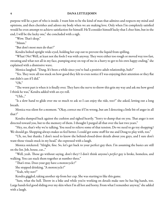purpose will be a part of who is inside. I want him to be the kind of man that admires and respects my mind and opinions, and then cherishes and adores my body when we are making love. Only when I'm completely satisfied would he even attempt to achieve satisfaction for himself. He'll consider himself lucky that I chose him, but in the end, I will be the lucky one," she concluded with a sigh.

"Wow. That's deep."

"Mmm."

"But don't most men do that?"

Kendra bolted upright wide-eyed, holding her cup out to prevent the liquid from spilling.

"What? No! Well, at least not the fools I was with anyway. They were either too rough or moved way too fast, sweating and what not all in my face, pumping away on top of me in a hurry to get to his own happy ending," she explained with a dismissive wave.

Monica laughed. "Dang. It's been a while since you've had a positive adult relationship, huh?"

"Yes. They were all too stuck on how good they felt to even notice if I was enjoying their attention or they flat out didn't care if I did."

" $Oh$ "

"The worst part is when it is finally over. They have the nerve to throw this grin my way and ask me how good I think he was," Kendra added with an eye roll.

"Uhh..."

"Is a slow hand to glide over me so much to ask so I can enjoy the ride, too?" she asked, letting out a long breath.

Monica was silent for a moment. "Okay, correct me if I'm wrong, but am I detecting a little bit of anger in all that?"

Kendra slumped back against the cushion and sighed heavily. "Sorry to dump that on you. That anger is not directed toward you, but to the memory of them. I thought I purged all that over the last two years."

"Hey, no, that's why we're talking. You need to relieve some of that tension. Do we need to go toy shopping? We should go. Shopping always makes us feel better. I could get some stuff for me and Doug to play with, too."

"Uh, no, but thanks. I don't need to know the behind-closed-door details about you guys, and I sure don't want those visuals stuck in my head," she expressed with a laugh.

Monica snickered. "Alright, fine. So, let's get back to your perfect guy then. I'm assuming the basics are still on the list. Job, house, car..."

"Well, yeah. Those go without saying, don't they? I don't think anyone's perfect guy is broke, homeless, and walking. You can stack them together at number three."

"That's true. Does your guy have a motorcycle?"

She stopped drinking. "A motorcycle?"

"Yeah, why not?"

Kendra giggled, taking another sip from her cup. She was starting to like this game.

"Sure, what the hell. Throw in a bike and while you're working on details make sure he has big hands, too. Large hands feel good sliding over my skin when I'm all hot and horny. From what I remember anyway," she added with a laugh.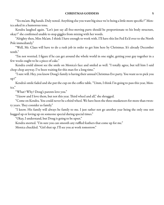"Yes ma'am. Big hands. Duly noted. Anything else you want big since we're being alittle morespecific?" Monica asked in a humorous tone.

Kendra laughed again. "Let's just say all free-moving parts should be proportionate to his body structure, okay?" she confirmed unable to stop giggles from mixing with her words.

"Alrighty then, Miss Ma'am. I think I have enough to work with. I'll have this list Fed Ex'd over to the North Pole immediately."

"Well, Mr. Claus will have to do a rush job in order to get him here by Christmas. It's already December tenth."

"I'm not worried. I figure if he can get around the whole world in one night, getting your guy together in a few weeks ought to be a piece of cake."

Kendra could almost see the smile on Monica's face and smiled as well. "I totally agree, but tell him I said chop-chop anyway. I've been waiting for this man for a long time."

"I sure will. Hey, you know Doug's family is having their annual Christmas Eve party. You want us to pick you up?"

Kendra's smile faded and she put the cup on the coffee table. "Umm, I think I'm going to pass this year, Monica."

"What? Why? Doug's parents love you."

"I know and I love them, but not this year. Third wheel and all," she shrugged.

"Come on Kendra. You could never be a third wheel. We have been the three musketeers for more than twenty years. They consider us family."

"I know. His family will always be family to me. I just rather not go another year being the only one not hugged up or loving up on someone special during special times."

"Okay, I understand, but Doug is going to be upset."

Kendra snorted. "I'm sure you can smooth any ruffled feathers that come up for me."

Monica chuckled. "Girl shut up. I'll see you at work tomorrow."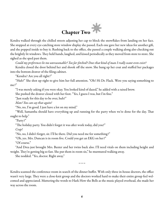

Kendra walked through the chilled streets adjusting her cap to block the snowflakes from landing on her face. She stopped at every eye-catching store window display she passed. Each one gave her new ideas for another gift, and she popped inside to buy it. Rushing back to the office, she passed a couple walking along also checking out the brightly lit windows. They held hands, laughed, and kissed periodically as they moved from store to store. She sighed as she sped past them.

Could my preferences be too unreasonable? Too far-fetched? Does that kind of man I really want even exist?

Kendra closed the door behind her and shook off the snow. She hung up her coat and stuffed her packages into the bottom drawer of the filing cabinet.

"Kendra? Are you all right?"

"Huh?" She shot up-right to give him her full attention. "Oh! Hi Dr. Flack. Were you saying something to me?"

"I was merely asking if you were okay. You looked kind of dazed," he added with a raised brow.

She pushed the drawer closed with her foot. "Yes, I guess I was, but I'm fine."

"Just ready for this day to be over, huh?"

Man! You can say that again!

"No, no, I'm good. I just have a lot on my mind."

"Well, Samantha should have everything up and running for the party when we're done for the day. That ought to help."

"Party?"

"The holiday party. You didn't forget it was after work today, did you?"

Crap!

"No, no, I didn't forget, sir. I'll be there. Did you need me for something?"

"Oh, yes. Mrs. Duncan is in room five. Could you get an EKG on her?"

"Of course."

"And Drea just brought Mrs. Baxter and her twins back also. I'll need vitals on them including height and weight. They're getting big so fast. She put them in room six," he murmured walking away.

She nodded. "Yes, doctor. Right away."

\* \* \* \*

Kendra scanned the conference room in search of the dinner buffet. With only three in-house doctors, the office wasn't very large. They were a close-knit group and the doctors worked hard to make their entire group feel welcomed and appreciated. Muttering the words to Hark How the Bells as the music played overhead, she made her way across the room.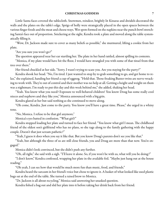Little Santa faces covered the tablecloth. Snowmen, reindeer, brightly lit Kinaras and dreidels decorated the walls and the plates on the table's edge. Sprigs of holly were strategically placed in the open spaces between the various finger foods and the meat and cheese trays. Wet spots formed on the napkins near the punch bowl stretching Santa's face out of proportion. Snickering at the sight, Kendra took a plate and moved along the table systematically filling it.

"Wow, Dr. Jackson made sure to cover as many beliefs as possible," she murmured, lifting a cookie from her plate.

"Are you sure you won't go?"

The question appeared near her ear startling her. The plate in her hand rattled, almost spilling its contents.

"Monica, if my plate would have hit the floor, I would have strangled you with some of that tinsel from that tree over there."

Her friend chuckled at her side. "Sorry. I wasn't trying to scare you. Are you staying for the party?"

Kendra shook her head. "No, I'm tired. I just wanted to stop by to grab something to go, and get home to relax," she explained, handing her friend a cup of eggnog. "Hold that. Those freaking Baxter twins are nerve-wracking to work with. They're out of control and their mother was no help at all. Getting a height and weight on them was a nightmare. I'm ready to put this day and this week behind me," she added, shaking her head.

"Yeah. You know what you need? Exposure to well-behaved children! You know Doug has some really cool nieces and nephews and they like you," Monica announced with a big grin.

Kendra glared at her but said nothing as she continued to move along.

"Oh come, Kendra. Just come to the party. You know you'll have a great time. Please," she urged in a whiny tone.

"No, Monica. I refuse to be that girl anymore."

Monica's eyes batted in confusion. "What girl?"

Kendra stopped loading her plate and turned to face her friend. "You know what girl I mean. The childhood friend of the oldest son's girlfriend who has no plans, so she tags along to the family gathering with the happy couple. Doesn't that just scream pathetic?"

"Yeah, I guess it does when you say it like that. But you know Doug's parents don't see you like that."

"Yeah, but although the three of us are still close friends, you and Doug are more than that now. You're engaged."

Monica didn't look convinced, but she didn't push any further.

"Oh, all right," she said with a sigh. "I'll leave it alone. So, if you won't be with us, what will you be doing?"

"I don't know," Kendra confessed, wrapping her plate in the available foil. "Maybe just hang out at the house reading."

"Oh yeah, I can see how that would be much more fun than music, food, and friends."

Kendra heard the sarcasm in her friend's voice but chose to ignore it. A basket of what looked like used plastic bags sat at the end of the table. She turned a raised brow to Monica.

"Dr. Jackson is all about recycling," Monica said answering her unasked question.

Kendra fished a bag out and slid her plate into it before taking her drink back from her friend.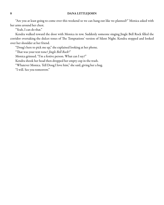"Are you at least going to come over this weekend so we can hang out like we planned?" Monica asked with her arms around her chest.

"Yeah, I can do that."

Kendra walked toward the door with Monica in tow. Suddenly someone singing Jingle Bell Rock filled the corridor overtaking the dulcet tones of The Temptations' version of Silent Night. Kendra stopped and looked over her shoulder at her friend.

"Doug's here to pick me up," she explained looking at her phone.

"That was your text tone? Jingle Bell Rock?"

Monica grinned. "I'm a festive person. What can I say?"

Kendra shook her head then dropped her empty cup in the trash.

"Whatever Monica. Tell Doug I love him," she said, giving her a hug.

"I will. See you tomorrow."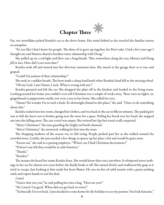

Fat, wet snowflakes pelted Kendra's car as she drove home. Her mind drifted as she traveled the familiar streets on autopilot.

"It's not like I don't know his people. The three of us grew up together, for Pete's sake. Until a few years ago I thought me *and* Monica shared a brother/sister relationship with Doug."

She pulled up on a red light and blew out a long breath. "But, somewhere along the way, Monica and Doug fell in love. How did I even miss that?"

Kendra took off and turned into her driveway moments later. She stared at the garage door as it rose and gasped.

"Could I be jealous of their relationship?"

She took in s sudden breath. The horn made a sharp loud honk when Kendra's head fell to the steering wheel. "Oh my God. I am! Damn, I suck. What is wrong with me?"

Kendra groaned and left the car. She dropped the plate off in the kitchen and headed to the living room. Looking around her home you couldn't even tell Christmas was a couple of weeks away. There were no lights, no gingerbread or peppermint smells, not even a tree in her home. She rolled her eyes.

"Damn! No wonder I'm in such a funk. It's downright dismal in this place," she said. "I have to do something about this."

Kendra rushed into her room, changed her clothes, and was back in the car in fifteen minutes. The parking lot was so full she knew not to bother going near the store for a space. Pulling her hood over her head, she stepped out into the falling snow. The cart corral was empty. She twisted her lips but wasn't really surprised.

"Merry Christmas!" the man guarding the bright red kettle shouted.

"Merry Christmas," she answered, walking by him into the store.

The shopping madness of the season was in full swing. People pushed past her as she walked around the crowded store. Luckily, she just needed a few things to spruce up her place a bit and would be gone soon.

"Excuse me," she said to a passing employee. "Where can I find Christmas decorations?"

"If there's any left they would be in aisle fourteen."

"Thanks."

"Kendra?"

The instant she heard her name Kendra froze. She would know that voice anywhere. It whispered sweet nothings in her ear for almost two years before she finally broke it off. She turned slowly and swallowed the gasp as it tried to escape. Just looking at him made her heart flutter. He was six feet of solid muscle with a panty-melting smile and expert hands to seal the deal.

#### Lionel.

"I knew that was you," he said pulling her into a hug. "How are you?"

"Hi, Lionel. I'm good. When did you get back to town?"

"Technically I'm not back. I just decided to come home for the holidays to see my parents. You look fantastic."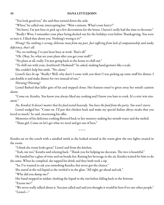"You look good too," she said then turned down the aisle.

"Whoa," he called out, intercepting her. "Wait a minute. What's your hurry?"

"No hurry. I'm just here to pick up a few decorations for the house. I haven't really had the time to decorate."

"Really? Wow, I remember your place being decked out for the holidays even before Thanksgiving. You were so into it. I liked that about you. Nothing's wrong is it?"

Wrong? No, nothing is wrong, delicious man from my past. Just suffering from lack of companionship and nooky deficiency, that's all.

"No, no nothing. I've just been busy at work. That's all."

"Oh. Okay. So, what are your plans after you get your stuff?"

"No plans at all, really. I'm just going back to the house to chill out."

"To chill out with your...boyfriend? Husband?" he asked, making hand gestures like a scale.

She couldn't help but smile. "No, alone."

Lionel's face lit up. "Really? Well, why don't I come with you then? I was picking up some stuff for dinner. I can double it and make dinner for two instead of one."

Warning! Warning!

Lionel flashed that killer grin of his and stepped closer. Her features must've given away her mind's caution alarm.

"Come on, Kendra. You know you always liked my cooking and I know you hate to cook. It's a win/win situation."

No, Kendra! It doesn't matter that his food tasted heavenly. You have the food from the party. You won't starve. Lionel nudged her. "Come on. I'll put this chicken back and make my special Italian ribeye steaks that you loved so much," he said, sweetening his offer.

Memories of his delicious cooking flittered back to her memory making her mouth water and she smiled. "Thata girl. Come on let's get what we need and get out of here."

\* \* \* \*

Kendra sat on the couch with a satisfied smirk as she looked around at the warm glow the tree lights created in the room.

"I think the room looks great," Lionel said from the kitchen.

"Yeah, me too," Kendra said relaxing back. "Thank you for helping me decorate. The tree is beautiful."

He handed her a glass of wine and sat beside her. Raising her beverage in the air, Kendra waited for him to do the same. When he complied, she tapped his drink and they both took a sip.

"So, I've wanted to ask you something Kendra, but never got the chance."

She stared at the red liquid as she swirled it in the glass. "All right, go ahead and ask."

"Why did you dump me?"

Her hand stopped in midair, sloshing the liquid to the rim before falling back to the bottom.

"Excuse me?"

"We never really talked about it. You just called and said you thought it would be best if we saw other people." "Lionel—"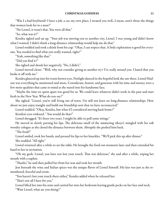"Was I a bad boyfriend? I have a job, a car, my own place, I treated you well...I mean, aren't those the things that women look for in a man?"

"No Lionel, it wasn't that. You were all that."

"So, what was it?"

Kendra sighed and sat up. "Your job was moving you to another city, Lionel. I was young and didn't know what I wanted. I didn't think a long-distance relationship would help me do that."

Lionel nodded and took a drink from his cup. "Okay, I can respect that. A little exploration is good for everyone. You needed to find what you really wanted, right?"

"Yeah, something like that."

"Did you find it?"

She sighed and shook her negatively. "No, I didn't."

Lionel moved closer. "Well, why not consider giving us another try? I've really missed you. I hated that you broke it off with me."

Kendra glanced up into his warm brown eyes. Firelight danced in the hopeful look she saw there. Lionel Hudson was everything he mentioned and more. Considerate, honest, and generous with his time and money were a few more qualities that came to mind as she stared into his handsome face.

"Maybe the time we spent apart was good for us. We could leave whatever didn't work in the past and start fresh in the New Year. What do you say?"

She sighed. "Lionel, you're still living out of town. I'm still not keen on long-distance relationships. How about we just enjoy tonight and build our friendship now that we have reconnected."

Lionel nodded. "Okay, Kendra, but what if I considered moving back home?"

Kendra's eyes widened. " You would do that?"

Lionel shrugged. "It's been two years. I might be able to pull some strings."

He moved in slowly pursing his lips. The delicious smell of the simmering ribeye's mingled with his soft woodsy cologne as she closed the distance between them. Abruptly she pushed him back.

"The food!"

Lionel smiled, took her hands, and pressed his lips to her knuckles. "We'll pick this up after dinner."

She nodded. "All right."

Lionel returned after a while to set the table. He brought the food out moments later and then extended his hand to her in invitation.

"Oh my gosh. Lionel, you have not lost your touch. That was delicious," she said after a while, wiping her mouth with a napkin.

"Thanks," he said then pulled her from her seat and took her mouth.

Just beneath the wine and Italian spices was the unique flavor of Lionel himself. His kiss was just as she remembered, forceful and erotic.

"You haven't lost your touch there either," Kendra added when he released her.

"That's not all I have for you."

Lionel lifted her into his arms and carried her into her bedroom leaving gentle pecks on her face and neck.

"Wait Lionel, what are you doing?"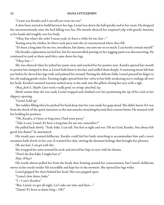"I want you Kendra and I can tell you want me too."

A slow burn started to build between her legs. Lionel was down the hall quickly and in her room. He dropped her unceremoniously onto the bed falling over her. His mouth silenced her surprised yelp with greedy intensity as his hands slid roughly over her body.

"Okay, but what's the rush? I mean yeah, it's been a while for me, but—"

Tearing away his clothes, he threw each piece into the air unconcerned where they fell.

"It's been a long time for me too, sweetheart, but damn, you turn me on so much. I can barely contain myself."

His breathy explanation excited her, but his uncontrolled pawing on her jogging pants was disconcerting. He continued to yank at them until they came down her legs.

"Okay, but—"

She was silenced when he jerked her pants away and reached for her panties next. Kendra opened her mouth to protest but clamped it shut as Lionel held them to his face and sniffed them deeply. A stuttering moan left him just before he shoved her legs wide and palmed her mound. Parting the delicate folds, Lionel pressed his finger to her clit making gentle circles. Exciting tingles spread from her vulva to her belly awakening nerve endings all over her body. Kendra's stunned reaction melted away as she sank into the pillow closing her eyes with a sigh.

Okay, fuck it. Maybe I just need a really good, no strings attached, lay.

Much sooner than she was ready Lionel stopped and climbed over her positioning the tip of his cock to her slippery opening.

"Lionel, hold up."

The sudden filling when he pushed his head deep into her core made her gasp aloud. She didn't know if it was from the shock of the quick intrusion or the taut muscles stretching beyond their current limits. He moaned with her holding his position.

"Oh, Kendra, it's been so long since I had some pussy."

"Take it easy, Lionel. It's been a long time for me too, remember?"

He pulled back slowly. "Yeah, baby. I can tell. You feel so tight and wet. Oh my God, Kendra. You always felt good, but damn!" he murmured.

His steady pace seemed deliberate. Kendra could feel her body stretching to accommodate him and a sweet sensation built slowly in her core. It warmed her skin, stirring the dormant feelings that brought her pleasure.

Ok, not bad. I can get with this.

She wrapped her arms around his neck and moved her hips in sync with his thrusts.

"Don't do that baby. I might lose it."

Wait. What?

His words almost pulled her from the heady daze forming around her consciousness, but Lionel's deliberate moves in her needy insides felt incredible and kept her in the moment. She opened her legs wider.

Lionel gripped the sheet behind her head. Her eyes popped open.

"Lionel, slow down, baby."

"I—I can't, Kendra."

"But, Lionel, we got all night. Let's take our time and then—"

"Damn! It's been so damn long—Oh!"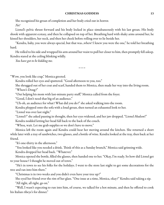She recognized his groan of completion and her body cried out in horror. No!

Lionel's pelvic thrust forward and his body locked in place simultaneously with his last groan. His body shook with apparent ecstasy, and then he collapsed on top of her. Breathing hard with shaky arms around her, he kissed her shoulders, her neck, and then her cheek before rolling over to lie beside her.

"Kendra, baby, you were always special, but that was...whew! I knew you were the one," he told her breathing hard.

He rolled to his side and wrapped his arm around her waist to pull her closer to him, then promptly fell asleep. Kendra stared at the ceiling blinking wildly.

You have got to be kidding me.

\* \* \* \*

"Wow, you look like crap," Monica greeted.

Kendra rolled her eyes and sputtered. "Good afternoon to you, too."

She shrugged out of her coat and scarf, handed them to Monica, then made her way into the living room. "Where's Doug?"

"Out helping his mom with last-minute party stuff," Monica called from the foyer.

"Good, I don't need that big of an audience."

"Uh-oh, an audience for what? What did you do?" she asked walking into the room.

Kendra plopped onto the sofa with a loud groan, then turned an exhausted look to her.

"Lionel was over last night."

"Lionel?" she asked pausing in thought, then her eyes widened, and her jaw dropped. "Lionel Hudson!"

Kendra nodded letting her head fall back to the back of the couch.

"Whoa, wait. Let me grab supplies so we don't have to move."

Monica left the room again and Kendra could hear her moving around the kitchen. She returned a short while later with a tray of sandwiches, two glasses, and a bottle of wine. Kendra looked at the tray, then back at her friend.

"It's one-thirty in the afternoon."

"You looked like you needed a drink. Think of this as a Sunday brunch," Monica said grinning wide.

Kendra dropped her head back. "Whatever."

Monica opened the bottle, filled the glasses, then handed one to her. "Okay, I'm ready. So how did Lionel get to your house? I thought he moved out of town."

"He's in town to see his folks for the holidays. I went to the store last night to get some decorations for the tree and ran into him there."

"Christmas is in two weeks and you didn't even have your tree up?"

She eyed her friend over the rim of her glass. "One issue at a time, Monica, okay?" Kendra said taking a sip. "All right, all right, go on."

"Well, I wasn't expecting to run into him, of course, we talked for a hot minute, and then he offered to cook his Italian ribeye's for dinner."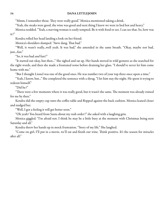"Mmm, I remember those. They were really good," Monica mentioned taking a drink.

"Yeah, the steaks were good, the wine was good and next thing I knew we were in bed hot and heavy."

Monica nodded. "Yeah, a starving woman is easily tempted. Be it with food or sex. I can see that. So, how was it?"

Kendra rolled her head landing a look on her friend.

Monica's shoulders slumped. "Aww dang. That bad."

"Well, it wasn't really...well yeah. It was bad," she amended in the same breath. "Okay, maybe not bad, just...fast."

"So, it was bad and fast?"

"It started out okay, but then..." She sighed and sat up. Her hands moved in wild gestures as she searched for the right words, and then she made a frustrated noise before draining her glass. "I should've never let him come home with me."

"But I thought Lionel was one of the good ones. He was number two of your top three once upon a time."

"Yeah, I know, but..." She completed the sentence with ashrug. "I let him stay the night. He spent it trying to redeem himself."

"Did he?"

"There were a few moments where it was really good, but it wasn't the same. The moment was already ruined for me by then."

Kendra slid the empty cup onto the coffee table and flopped against the back cushion. Monica leaned closer and nudged her.

"Well, I got a feeling it will get better soon."

"Oh yeah? You heard from Santa about my rush order?" she asked with a laughing grin.

Monica giggled. "I'm afraid not. I think he may be a little busy at the moment with Christmas being next Saturday and all."

Kendra threw her hands up in mock frustration. "Story of my life." She laughed.

"Come on girl, I'll put in a movie, we'll eat and finish our wine. Think positive. It's the season for miracles after all."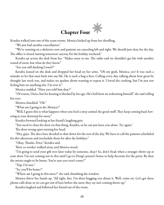

Kendra walked into one of the exam rooms. Monica looked up from her doodling.

"We just had another cancellation."

"We're running on a skeleton crew and patients are canceling left and right. We should just close for the day. The office is closed starting tomorrow anyway for the holiday weekend."

Kendra sat across the desk from her. "Makes sense to me. The radio said we shouldn't get hit with another round of snow, but what do they know."

"Are you still ducking Lionel?"

Kendra leaned on the desk and dropped her head on her arms. "Oh my gosh, Monica, yes! It was such a mistake to let that man back into my life. He is such a bug-a-boo. Calling every day, talking about how great he thought last week was, and makes no qualms about wanting to repeat it. I loved the cooking, but I'm just not feeling him on anything else. I'm over it."

Monica nodded. "Have you told him that?"

"Of course, I have, but his hearing is blocked by his ego. He's hell-bent on redeeming himself," she said rolling her eyes.

Monica chuckled. "Oh."

"What am I going to do, Monica?"

"Well, I guess this is what happens when you feed a stray animal the good stuff. They keep coming back hovering at your doorstep for more."

Kendra frowned looking at her friend's laughing grin.

"You need to close the door on that thing, Kendra, so he can just leave you alone. Try again."

The door swung open turning her head.

"Hey, guys. The docs have decided to shut down for the rest of the day. We have to call the patients scheduled for this afternoon and reschedule them for after the holidays."

"Okay. Thanks, Drea," Kendra said.

Their co-worker walked away, and Monica stood.

"I'm going to send your gift over later today by someone, okay? So, don't freak when a stranger shows up at your door. I'm not coming out in this until I go to Doug's parent's house to help decorate for the party. By then the streets ought to be better. You're sure you won't come?"

"Yup, I'm sure."

"So, you'll be home?"

"Where am I going in this mess?" she said, thumbing the window.

Monica threw her hands up. "All right, fine. I'm done bugging you about it. Well, come on. Let's get these phone calls done so we can get out of here before the snow they say isn't coming shows up."

Kendra laughed and followed her friend out of the room.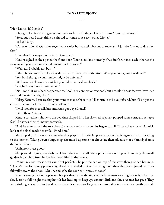\* \* \* \*

"Hey, Lionel. It's Kendra."

"Hey, girl. I've been trying to get in touch with you for days. How you doing? Can I come over?"

"So about that, I don't think we should continue to see each other, Lionel."

"What? Why?"

"Come on Lionel. Our time together was nice but you still live out of town and I just don't want to do all of that."

"But what if I can get a transfer back to town?"

Kendra sighed as she opened the front door. "Lionel, tell me honestly if we didn't run into each other at the store would you have considered moving back to town?"

"Well, no. Probably not but—"

"Uh-huh. You were here for days already when I saw you in the store. Were you even going to call me?"

"Yes, but I thought your number might be different."

"Well now you know it wasn't but you didn't even call to check."

"Maybe it was fate that we met up."

"No Lionel. It was sheer happenstance. Look, our connection was cool, but I think it's best that we leave it at that and remain friends, okay?"

"Okay, Kendra. I can see that your mind is made. Of course, I'll continue to be your friend, but if I do get the chance to come back I will definitely call you."

"I will look for that call, but until then goodbye Lionel."

"Until then, Kendra."

Kendra tossed her phone to the bed then slipped into her silky red pajamas, popped some corn, and set up a few Christmas-themed movies to watch.

"And he even carved the roast beast," she repeated as the credits began to roll. "I love that movie." A quick look at the clock made her smile. "Food time."

She slipped in the next movie into the disk player and lit the fireplace to warm the living room before heading to the kitchen. Taking down a large mug, she mixed up some hot chocolate then added a shot of brandy from a different cabinet.

"Ahh, now that's good."

She pivoted to grasp the dishtowel from the oven handle then pulled the door open. Removing the small golden-brown bird from inside, Kendra sniffed in the aroma.

"Mmm, my own roast beast came but perfect." She put the pan on top of the stove then grabbed her mug. "Now it's time for some yippie-ki-yay. Slowly she headed back to the living room then abruptly adjusted her careful walk toward the door. "Oh! That must be the courier Monica sent over."

Kendra swung the door open and her jaw dropped at the sight of the large man kneeling before her. He rose slowly to his full height making her tilt her head up to keep eye contact. Brilliant blue eyes met her gaze. They were strikingly beautiful and held her in place. A square jaw, long slender nose, almond-shaped eyes with natural-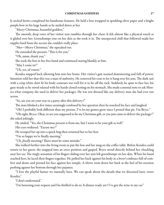ly arched brows completed his handsome features. He held a box wrapped in sparkling silver paper and a bright purple bow in his large hands as he smiled down at her.

"Merry Christmas, beautiful goddess."

The smooth, deep voice of her visitor sent rumbles through her chest. It felt almost like a physical touch as it glided over her. Goosebumps rose on her skin as she took it in. The unexpected chill that followed made her nipples hard from the accent she couldn't really place.

"Mer—Merry Christmas," she squeaked out.

He extended the present. "This is for you."

"Oh, umm, thank you."

She took the box in her free hand and continued staring blankly at him.

"May I come in?"

"Uh, yes, of course."

Kendra stepped back allowing him into her home. Her visitor's gait seemed domineering and full of power. Intuition told her that this was a man of authority. He removed his coat to let it hang over his arm. The dark suit with a crisp white shirt fit his body contours too well for it to be off the rack. Suddenly he spun to face her, his gaze steady as he stood relaxed with his hands closed resting on his stomach. She made a mental note to ask Monica what company she used to deliver her packages. He was not dressed like any delivery man she had ever run across.

"So, are you on your way to a party after this delivery?"

The man blinked a few times seemingly confused by her question then he touched his face and laughed.

"Oh! I probably look different than my picture. I've let my goatee grow since I posted that pic. I'm Bryce."

"Oh right, Bryce. Okay, so are you supposed to be my Christmas gift, or you just came to deliver the package?" she asked jokingly.

He smiled. "Yes, the Christmas present is from me, but I want to be your gift as well."

Her eyes widened. "Excuse me?"

He scooped her up into a quick hug then returned her to her feet.

"I'm so happy we're finally meeting."

"Uh, *finally* meeting? There must be some mistake."

She walked further into the living room to put the box and her mug on the coffee table. Before Kendra could return to her guest, she snapped into an erect position and gasped. Bryce stood directly behind her chuckling near her ear. The tingly sensation of his fingers sliding over her arm left goosebumps on her skin. When his hand reached hers, he laced their fingers together. He pulled her back against his body in alover's embrace full of comfort and desire and pressed his face against her temple. A shiver went down her back at the feel of his erection pushing against her bottom through her pajamas.

"I love the playful banter we naturally have. We can speak about the details that we discussed later, sweet Kendra."

"I don't understand."

"I'm honoring your request and I'm thrilled to do so. Is dinner ready yet? I've got the wine in my car."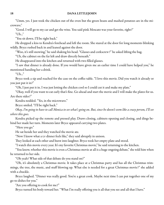"Umm, yes. I just took the chicken out of the oven but the green beans and mashed potatoes are in the microwave."

"Good. I will go to my car and get the wine. You said pink Moscato was your favorite, right?"

"Uh..."

"You sit down. I'll be right back."

He dropped a kiss to Kendra's forehead and left the room. She stared at the door for long moments blinking wildly. Bryce rushed back in and leaned against the door.

"Woo, it's still snowing," he said shaking his head. "Glasses and corkscrew?" he asked lifting the bag.

"Uh, the cabinet on the far left and draw directly beneath."

He disappeared into the kitchen and returned with two filled glasses.

"I saw that dinner is already done. If you would have given me an earlier time I could have helped you," he mentioned handing her a drink.

"Uh..."

Bryce took a sip and reached for the case on the coffee table. "I love this movie. Did you watch it already or you just put it in?"

"Oh, I just put it in. I was just letting the chicken cool so I could cut it and make my plate."

"Okay, well if you want to eat early that's fine. Go ahead and start the movie and I will make the plates for us. Are there sides?"

Kendra nodded. "Yes, in the microwave."

Bryce smiled. "I'll be right back."

Okay, I'm going to have to call Monica to see what's going on. But, since he doesn't seem like a crazy person, I'll see where this goes.

Kendra picked up the remote and pressed play. Draws closing, cabinets opening and closing, and dings behind her made her turn. Moments later Bryce appeared carrying two plates.

"Here you go."

He sat beside her and they watched the movie ate.

"Now I know what a t.v dinner feels like," they said abruptly in unison.

They looked at each other and burst into laughter. Bryce took her empty plate and stood.

"I watch this movie every year. It's my favorite Christmas movie," he said returning to the kitchen.

"You know, whether this movie is even a Christmas movie at all is a huge ongoing debate," she told him when he returned to her side.

"Oh yeah? What side of that debate do you stand on?"

"Oh, it's absolutely a Christmas movie. It takes place at a Christmas party and has all the Christmas trimmings, the tree, the music, and stuff blowing up. What else is needed for a great Christmas movie?" she added with a chuckle.

Bryce laughed. "Dinner was really good. You're a great cook. Maybe next time I can put together one of my go-to dishes for you."

"Are you offering to cook for me?"

Bryce turned his body toward her. "What I'm really offering you is all that you see and all that I have."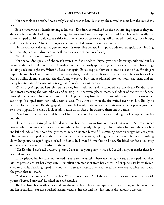Kendra took in a breath. Bryce slowly leaned closer to her. Hesitantly, she moved to meet him the rest of the way.

Bryce stood with his hands moving to his shirt. Kendra was transfixed on the slow-moving fingers as they undid each button. She had to quench the urge to move his hands and rip the material from his body. Finally, the jacket slipped off his shoulders. His shirt fell open a little faster revealing well-rounded shoulders, thick biceps, and a muscular chest. A light dusting of dark hair traveled down to cover sculpted abs.

Her mouth went dry as her gaze fell over his masculine beauty. His upper body was exceptionally pleasing, but when Bryce's pants dropped to the floor, his cock took her breath away.

"Would you like me to turn?"

Kendra couldn't speak and she wasn't even sure if she nodded. Bryce gave her a knowing smile and put his pants on the back of the couch with his other clothes then slowly spun giving her an excellent view of his stronglooking back and tight ass. When he faced her again, Bryce stepped forward to stand closer to her. His fingers slipped behind her head. Kendra lifted her face as he gripped her hair. It wasn't the needy kiss he gave her earlier, but a thrilling claiming one that she didn't know existed. His tongue plunged into her mouth exploring and enticing hers to join. The sensation tore a groan from deep within her soul.

When Bryce's lips left hers, tiny pecks along her cheek and jawline followed. Automatically Kendra bared her throat accepting the soft, nibbles, and teasing licks that were placed there. A shudder of excitement danced through the nerve endings in her lower back. He pulled away from her again to unbutton the tiny hearts of her satin top. It slipped from her body seconds later. The warm air from the fire wafted over her skin. Boldly he reached for her breasts. Kendra gasped, shivering helplessly at the sensation of his strong palms passing over her sensitive nipples. Bryce had a look of admiration on his face as he caressed them one at a time.

"You have the most beautiful breasts I have ever seen." He leaned forward taking her left nipple into his mouth.

Pleasure coursed through her blood as he took his time, moving from one breast to the other. She rose on her toes offering him more as his warm, wet mouth suckled urgently. Her pussy pulsed to the vibrations his gentle biting left behind. When Bryce finally released her and righted himself, his straining erection caught her eye again. His long fingers slipped beneath the band of her pajama bottoms, tickling the tender skin of her waist. Pushing down her pants, he kept his gaze locked on hers as he lowered himself to his knees. She lifted her feet obediently one at a time allowing him to discard them.

"Oh Kendra, I can't tell you how pleased I am to see your pussy is shaved. I could lick your tender flesh for hours if you wanted."

Bryce gripped her bottom and pressed his face to the junction between her legs. A squeal escaped her when his lips pressed against her dewy skin. A tantalizing tremor shot from her center up her spine. Her knees threatened to buckle. Kendra gripped his shoulders to steady herself. The deep breath he took was audible and so was the groan that followed.

"And you smell so good," he told her. "You're already wet. Am I the cause of that or were you playing with yourself before I arrived?" he asked on a soft chuckle.

The heat from his breath, erotic and tantalizing on her delicate skin, spread warmth throughout her core raising her arousal. Bryce's nose pushed teasingly against her clit and then his tongue darted out to taste her.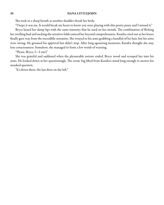She took in a sharp breath as another shudder shook her body.

"I hope it was me. It would break my heart to know you were playing with this pretty pussy and I missed it."

Bryce kissed her damp lips with the same intensity that he used on her mouth. The combination of flicking her swelling bud and sucking the sensitive folds enticed her beyond comprehension. Kendra cried out as her knees finally gave way from the incredible sensation. She swayed in his arms grabbing a handful of his hair, but his arms were strong. He groaned his approval but didn't stop. After long agonizing moments, Kendra thought she may lose consciousness. Somehow, she managed to form a few words of warning.

"Please, Bryce, I—I can't"

She was grateful and saddened when the pleasurable torture ended. Bryce stood and scooped her into his arms. He looked down at her questioningly. The erotic fog lifted from Kendra's mind long enough to answer his unasked question.

"It's down there, the last door on the left."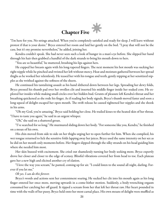

"I'm here for you. No strings attached. When you're completely satisfied and ready for sleep, I will leave without protest if that is your desire." Bryce entered her room and laid her gently on the bed. "I pray that will not be the case, but it's my promise nevertheless," he added, joining her.

Kendra couldn't speak. She had never seen such a look of hunger in a man's eye before. She slipped her hand through his hair then grabbed a handful of the dark strands to bring his mouth down to hers.

"You are so beautiful," he muttered, brushing his lips against hers.

He cupped her breasts again with his long-tapered fingers. The next moment his hot mouth was sucking her right nipple while he pinched and twisted her left without mercy. Heat and moisture gathered between her spread thighs as he worked her relentlessly. He teased her with his tongue and teeth, gently nipping at her sensitized nipples as she writhed against the softness of the sheets.

He continued his tantalizing assault as his hand slithered down between her legs. Spreading her dewy folds, Bryce pressed his thumb pad over her swollen clit and inserted his middle finger inside her soaked core. He explored her insides while making small circles over her hidden bud. Grunts of pleasure left Kendra's throat and her breathing quickened as she rode his finger. As if reading her body signals, Bryce's thumb moved faster and soon a long squeal of delight escaped her open mouth. The swift release he caused tightened her nipples and she shook in his arms.

"Oh my God, you're amazing," Bryce said holding her close. He trailed kisses to the heated skin of her throat. "I have to taste you again," he said in an urgent whisper.

"Oh," she said on a shattered groan.

"I'vesearched for so long." He murmured sliding down her body."For someonelike you, Kendra," he finished on a moan of his own.

His chin moved from side to side on her thighs urging her to open further for him. When she complied, his wet tongue returned to lick the sensitive folds lapping away her juices. Bryce used the same intensity on her sex as he did on her mouth only moments before. Her fingers slipped through thesilky strands on his head guiding him where she needed him most.

Her skin buzzed with excitement. She cried out shamelessly turning her body seeking more. Bryce expertly drove her closer and closer to the edge of ecstasy. Blissful vibrations covered her from head to toe. Each plateau gave her a new high and elicited another cry of elation.

"I love the way you scream," he panted, coming up for air. "I could listen to the sound all night, darling. Forever if you let me."

#### Oh yes. I can do this forever.

Bryce's words and actions sent her contentment soaring. He sucked her clit into his mouth again as his long finger entered her once more, moving upwards in a come-hither motion. Suddenly, a body-wrenching orgasm consumed her catching her off guard. It ripped a scream from her that left her throat raw. Her heart pounded in time with the walls of her pussy. Bryce held onto her most carnal place. His own moans of delight were muffled as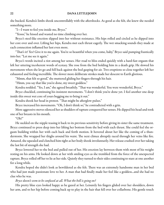she bucked. Kendra's limbs shook uncontrollably with the aftershocks. As good as she felt, she knew she needed something more.

"I—I want to feel you inside me, Bryce."

"Yessss," he hissed and wasted no time climbing over her.

Bryce's steel-like erection slipped into her without resistance. His hips rolled and circled as he dipped into her core over and over. Lifting her hips, Kendra met each thrust eagerly. The wet smacking sounds they made at each connection inflamed her lust even more.

"That's it! Yes! Give it to me again. You're so beautiful when you come, baby," Bryce said pumping frantically into her. "Let me see it again."

Bryce's words incited a riot among her senses. Her road to bliss ended quickly with a hard-fast orgasm that left her uttering incoherent words of ecstasy. She rose from the bed holding him in a death grip. He slowed his movements when she let go and fell back against the bed gasping for air. Two eruptions so close together left her exhausted and feeling incredible. The slower more deliberate strokes made her descent to Earth glorious.

"Mmm, that felt so good," she muttered gliding her fingers through his hair.

"Hmm, you say that like you're done, my sweet goddess."

Kendra nodded. "Yes, I am," she agreed breathily. "That was wonderful. You were wonderful, Bryce."

Bryce chuckled, continuing his insistent movements. "I don't think you're done yet. I feel another one deep inside this sweet wet core of yours begging me to bring it out."

Kendra shook her head in protest. "That might be afterglow pulses."

Bryce increased his movements. "Oh, I don't think so," he contradicted with a grin.

More aggressive moves silenced her as shudders of rapture conquered her senses. He dipped his head and took one of her breasts in his mouth.

" $Oh!$ "

He suckled on the nipple teasing it back to its previous sensitivity before giving its sister the same treatment. Bryce continued to press deep into her lifting her bottom from the bed with each thrust. She could feel the orgasm building within her with each back and forth motion. It hovered about her like the coming of a thunderstorm. She wrapped her thighs around his waist. The next climax abruptly raced through her veins like fire. Amazed, she squealed and clutched him tight as her body shook involuntarily. Her release crashed over her taking the last bit of strength she had.

Bryce lowered her to the bed and pulled out of her. His erection lay between them with most of his weight resting on his arms. He looked down at her with smiling eyes as she trembled from the force of the unexpected rapture. Bryce rolled off her to lie at her side. Quietly they turned to their sides continuing to stare at one another for a long while.

Kendra hoped she didn't look as bewildered as she felt. There was an extremely handsome man in her bed who had just made passionate love to her. A man that had finally made her feel like a goddess...and she had no clue who he was.

#### Bryce doesn't seem to be confused at all. What the hell is going on?

His pretty blue eyes looked happy as he gazed at her. Leisurely his fingers glided over her shoulders, down her arm, and to her hip before coming back up to play in the hair that fell over her collarbone. His gentle touch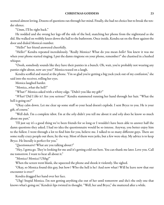seemed almost loving. Dozens of questions ran through her mind. Finally, she had no choice but to break the tender silence.

"Umm, I'll be right back."

He nodded and she swung her legs off the side of the bed, snatching her phone from the nightstand as she did. She walked on wobbly knees down the hall to the bathroom. Once inside, Kendra sat on the floor against the door and dialed Monica's number.

"Hello!" her friend answered cheerfully.

"Hello?" Kendra repeated incredulously. "Really Monica? What do you mean *hello*? You knew it was me when your phone started ringing. I put the damn ringtone on your phone, remember?" she chastised in a hushed whisper.

"Oooh, somebody sounds like they have their panties in a bunch. Oh, wait, you're probably not wearing any panties right about, now are you?" Monica teased on a laugh.

Kendra scoffed and stared at the phone. "I'm so glad you're getting a big yuck-yuck out of my confusion," she said into the receiver, rolling her eyes.

Monica laughed harder.

"Monica...what the hell!"

"What?" Monica asked with a whiny edge. "Didn't you like my gift?"

"What? Did I like it? Are you serious?" Kendra stammered running her hand through her hair. "What the hell is going on?"

"Okay calm down. Let me clear up some stuff so your head doesn't explode. I sent Bryce to you. He is your gift, of course."

"Well duh. I'm a complete idiot. I'm at the  $wby$  didn't you tell me about it and  $wby$  does he know so much about me part."

"I'll just say it's a good thing we've been friends for so long or I wouldn't have been able to answer half the damn questions they asked. I had no idea the questionnaire would be so intense. Anyway, you better enjoy him to the fullest. I went through a lot to find him for you, believe me. I talked to so many different guys. There are some really crazy people out there, by the way. Most of them were jerks, but a few were okay. My advice is to keep Bryce. He literally is perfect for you."

"Questionnaire? What are you talking about?"

"Hey, I gotta go. They're looking for me and it's getting cold out here. You can thank me later. Love you. Call me tomorrow. I want to hear all about it."

"Monica? Monica! Uhhg!"

When the screen went blank, she squeezed the phone and shook it violently. She sighed.

"Okay, so Monica found this guy, but how? Who the hell is he? And now what? Will he leave now that our encounter is over?"

Kendra dragged her hand over her face.

"Uhg! Stupid Monica. I'm not getting anything else out of her until tomorrow and she's the only one that knows what's going on." Kendra's lips twisted in thought. "Well, her and Bryce," she muttered after a while.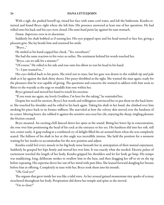With a sigh, she pushed herself up, rinsed her face with some cool water, and left the bathroom. Kendra returned and found Bryce right where she left him. His presence answered at least one of her questions. He had rolled onto his back and his eyes were closed. His semi-hard penis lay against his taut stomach.

Damn. Impressive even in its downtime.

Suddenly his shaft bobbed as if sensing her. His eyes popped open and his head turned to face her, giving a pleasant grin. She lay beside him and returned his smile.

"Bryce..."

He smiled as his hand cupped her cheek. "Yes, sweetheart."

She had the same reaction to his voice as earlier. The sentiment behind his words touched her.

"Bryce, can we talk for a minute?"

"Of course." He rolled to his side and rose onto his elbow to rest his head in his hand.

"I—I just wanted to..."

Her eyes shifted back to his penis. She tried not to stare, but her gaze was drawn to the reddish tip and pale shaft as it lay against the dark shiny sheets. Her pussy throbbed at the sight. She wanted the man again, ready for the pleasures that he was capable of giving. The questions and concerns she wanted to address with him seem to flitter to the wayside as the urge to straddle him rose within her.

Bryce grinned and moved her hand to touch his erection.

"If you want me again, my lovely Goddess, I'm here for the taking," he reminded her.

Despite her need for answers, Bryce's hot words and willingness convinced her to put them on the back burner. She touched his shoulder and he rolled to his back again. Taking his shaft in her hand, she climbed over him stroking his piece back to its former stiffness. She marveled at how the velvety skin moved over the hardness of its center. Moving lower, she rubbed it against the sensitive area near her clit, enjoying the sharp, tingling pleasure the friction created.

Bryce moaned. An exciting chill danced down her spine at the sound. Biting her lower lip in concentration, she rose over him positioning the head of his cock at the entrance to her sex. His hardness slid into her soft, still wet, center easily. A gasp ending in a combined cry of delight filled the air around them when she was completely seated. The fullness of his shaft in her at this angle was incredibly intense. She held the position for a moment waiting for her insides to accommodate for the new position and adjust.

Kendra could feel every muscle in his big body tense beneath her in anticipation of their mutual enjoyment. Suddenly he grasped her hips firmly and moved her over him. It was exactly what she needed. Electric pulses of excitement traveled the length of her body. Kendra gripped his shoulders and let her body go limp. His tempo was maddening, long, deliberate strokes to swallow him to the base, and then dragging her off to sit on the tip before repeating. His expertise drove her out of her mind with pure bliss. She leaned forward dangling her breasts before him in offering. Completely in tune with her, Bryce took them into his mouth.

"Oh, God yes!"

The orgasm that grew inside her was like a tidal wave. As her arousal gained momentum tiny sparks of ecstasy ricocheted throughout her body. Perspiration slid down her temple and spine as she moved.

"I'm so close!"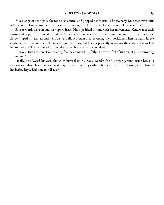Bryce let go of her hips as she took over control and gripped her breasts. "I know, baby. Ride that wave until it fills your soul and consumes you. I want you to enjoy me like no other. I never want to leave your side."

Bryce's words were an auditory aphrodisiac. His hips lifted in time with her movements. Kendra met each thrust and gripped his shoulders tightly. After a few moments, she let out a sound unfamiliar to her own ears. Bryce slipped his arm around her waist and flipped them over, reversing their positions, when he heard it. He continued to drive into her. The new arrangement targeted her clit perfectly increasing the ecstasy that rocked her to the core. She continued to howl the joy her body felt as it convulsed.

"Oh yes! That's the one I was waiting for," he admitted lustfully. "I love the feel of that sweet pussy quivering around me."

Finally, he allowed his own climax to burst from his body. Kendra felt his organ jerking inside her. His tremors stimulated her even more as she lay beneath him dizzy with euphoria. Exhausted and sated, sleep claimed her before Bryce had time to roll away.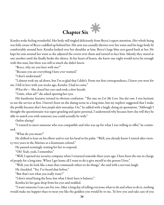

Kendra woke feeling wonderful. Her body still tingled deliciously from Bryce's expert attention. Her whole being was fully aware of Bryce cuddled up behind her. His arm was casually thrown over her waist and his large body fit comfortably around hers. Kendra looked over her shoulder at him. Bryce's large blue eyes gazed back at her. He kept his arm around her waist as she adjusted the covers over them and turned to face him. Silently they stared at one another until she finally broke the silence. In her heart of hearts, she knew one night would never be enough with this man, but there was still so much she didn't know.

"Bryce, why are you here with me?"

"Because you are everything I have ever wanted."

"I don't understand."

"I almost took my ad down, but I'm so glad that I didn't. From our first correspondence, I knew you were for me. I fell in love with you weeks ago, Kendra. I had to come."

What the— She closed her eyes and took a slow breath.

"Umm, what ad?" she asked opening her eyes.

His handsome features twisted in obvious confusion. "The one on Let Me Love You dot com. I was hesitant to use the service at first. I haven't been on the dating scene in a long time, but my nephew suggested that I make the profile because *that's how people date nowadays Unc*," he added with a laugh, doing air quotations. "Although I thought the questionnaire was super grueling and quite personal, I understood why because how else will they be able to match you with someone you could actually be with."

#### Online dating?

"I wanted to meet someone who was compatible and who was up for what I was willing to offer," he continued.

"What do you mean?"

He shifted to lean on his elbow and to rest his head in his palm. "Well, you already know I retired after twenty-two years in the Marines as a lieutenant colonel."

He paused seemingly waiting for her to respond.

"Oh! Yeah, yeah, I remember."

"Well, I opened my security company when I returned stateside three years ago. I have been the one in charge of people for a long time. When I get home all I want to do is give myself to the person I love."

"Well, you do look like a man that commands others to do things," she said with a nervous laugh.

He chuckled. "Yes, I've heard that before."

"But that's not what you really want?"

"I don't mind being the boss, but what I don't have is balance."

Kendra let her gaze drop from his eyes and nodded.

"I want someoneIcan carefor, too. Afteralong day of telling everyone what to do and when to do it, nothing would make me happier than to treat you like the goddess you would be to me. To love you and take care of you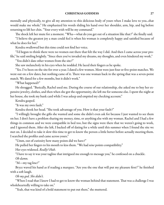mentally and physically, to give all my attention to this delicious body of yours when I make love to you...that would make me whole." He emphasized his words sliding his hand over her shoulder, arm, hip, and leg before returning to lift her chin. "Your every wish will be my command."

The shock left her mute for a moment. "Wha—what do you get out of a situation like that?" she finally said.

"I believe the greatest joy a man could feel is when his woman is completely happy and satisfied because of what he does for her."

Kendra swallowed but this time could not find her voice.

"I'd begun to think there were no women out there that felt the way I did. And then I came across your profile," he said smiling brightly. "Since then you've invaded my dreams, my thoughts, and even hindered my work."

"You didn't date other women from the site?"

She saw melancholy in his eyes when he nodded. He laced their fingers as he spoke.

"Yes. I've been on the site for over a year. I dated a few women. Most were just four or five-point matches. We went out on a few dates, but nothing came of it. There was one woman back in the spring that was a seven-point match. We dated for a few months, but it didn't work."

"What happened?"

He shrugged. "Basically, Rachel used me. During the course of our relationship, she asked me to buy her expensive jewelry, clothes, and then when she got the opportunity, she left me for someone else. I spent the night at her house, she took my bank card while I was asleep and emptied my checking account."

Kendra gasped.

"It was my own fault."

Kendra shook her head. "She took advantage of you. How is that your fault?"

"I willingly brought the gifts she wanted and some she didn't even ask for because I just wanted to see them on her. I don't have a problem sharing my money, time, or anything else with my woman. Rachel and I had a few things in common and we were compatible in bed too, but the signs were there that we weren't going to work, and I ignored them. After she left, I backed off of dating for a while until this summer when I found the site we met on. I decided to take it slow this time to get to know the person a little better before actually meeting them. I searched the profiles and came across yours."

"Umm, out of curiosity how many points did we have?"

He pulled her fingers to his mouth to kiss them. "We had nine points compatibility."

Her eyes widened. Really? Huh.

"I have to say it was your tagline that intrigued me enough to message you," he confessed on a chuckle.

Oh damn.

"M—my tag line?"

Bryce waved his hand as if reading a marquee. "Are you the one that will put my pleasure first?" he finished with a soft laugh.

Oh my god. She didn't.

"When I read that I knew I had to get to know the woman behind that statement. That was a challenge I was wholeheartedly willing to take on."

"Yeah, that was kind of a bold statement to put out there," she muttered.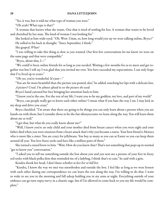"Yes, it was, but it told me what type of woman you were."

"Oh yeah? What type is that?"

"A woman that knows what she wants. One that is tired of settling for less. A woman that wants to be loved and cherished by her man. The kind of woman I was looking for."

She looked at him wide-eyed. "Oh. Wow. Umm, so, how long would you say we were talking online, Bryce?" He rolled to his back in thought. "Since September, I think."

She gasped. What!

"I was willing to take this thing as slow as you wanted. Our first few conversations let me know we were on the same page and that were compatible."

"Bryce, about that, I—"

"We could've been online friends for as long as you needed. Waiting a few months for us to meet and get together was but I will say I was glad that you invited me over. You have exceeded my expectations. I can only hope that I've lived up to yours."

"Oh yes, you're wonderful. It's just—"

"You are far more beautiful than the picture you posted, also," he added, touching her lips with a delicate kiss. A picture? Crud. I'm almost afraid to see the picture she used.

Bryce's hand caressed her face bringing her attention back to him.

"I know you're the one. For the rest of my life, I want you to be my goddess, my love, and part of my world."

"Bryce, can people really get to know each other online? I mean what if you hate the way I eat. I may kick in my sleep and drive you crazy."

Bryce chuckled. "I'm aware that there are going to be things you can only learn about a person when you are hands-on with them, but I consider those to be the fun idiosyncrasies we learn along the way. You will learn them about me as well."

"I get that, but what do you really know about me?"

"Well, I know you're an only child and your mother died from breast cancer when you were eight and your father died when you were nineteen from a heart attack that's why you became a nurse. Your best friend is Monica who is more like a sister. You are crazy for jellybeans. You buy as many as you can at Easter so you can keep them around all year. You love fuzzy socks and have like a million pairs of them."

She turned a raised brow to him. "Wait. How do you know that? That's not something that pops up in normal "get to know you" conversation."

"I asked you to tell me something outside the box about you and you sent me a picture of your feet in fuzzy red socks with black polka dots that reminded me of a ladybug. I think that's so cute," he said with a grin.

Kendra shook her head. I don't know whether to kiss her or kill her.

"Kendra, I know the way we met was unorthodox and outside the box. I feel like as long as we were honest with each other during our correspondence we can learn the rest along the way. I'm willing to do that. I want to wake to see you in the morning and fall asleep holding you in my arms at night. Everything outside of your embrace can go turn topsy-turvy in a chaotic rage, but if I'm allowed to come back to you my life would be complete."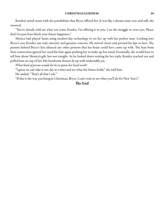Kendra's mind swam with the possibilities that Bryce offered her. It was like a dream come true and still, she wavered.

"You've already told me what you want, Kendra. I'm offering it to you. I see the struggle in your eyes. Please don't let past fears block your future happiness."

Monica had played Santa using modern-day technology to set her up with her perfect man. Looking into Bryce's eyes Kendra saw only sincerity and genuine concern. He moved closer and pressed his lips to hers. The passion behind Bryce's kiss silenced any other protests that her brain could have come up with. The heat from their connection ignited her need for him again pushing her to make up her mind. Eventually, she would have to tell him about Monica's gift, but not tonight. As he looked down waiting for her reply, Kendra reached out and pulled him on top of her. His handsome feature lit up with undeniable joy.

What kind of person would she be to spurn her hard work?

"I guess we can take it one day at a time and see what the future holds," she told him.

He smiled. "That's all that I ask."

"If this is the way you bring in Christmas, Bryce, I can't wait to see what you'll do for New Year's."

## The End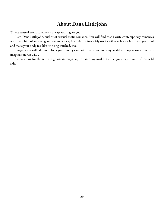## About Dana Littlejohn

Where sensual erotic romance is always waiting for you.

I am Dana Littlejohn, author of sensual erotic romance. You will find that I write contemporary romances with just a hint of another genre to take it away from the ordinary. My stories will touch your heart and your soul and make your body feel like it's being touched, too.

Imagination will take you places your money can not. I invite you into my world with open arms to see my imagination run wild...

Come along for the ride as I go on an imaginary trip into my world. You'll enjoy every minute of this wild ride.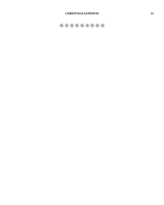\*\*\*\*\*\*\*\*\*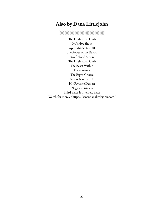## Also by Dana Littlejohn

\*\*\*\*\*\*\*\*\*

The High Road Club Ivy's Hot Shots Aphrodite's Day Off The Power of the Bayou Wolf Blood Moon The High Road Club The Beast Within Tri-Romance The Right Choice Seven Year Switch His Favorite Dessert Negasi's Princess Third Place Is The Best Place Watch for more at https://www.danalittlejohn.com/